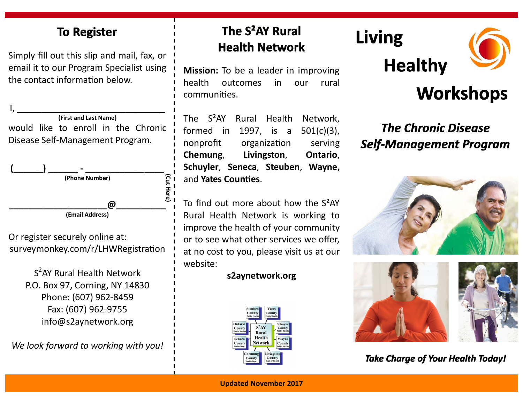### **To Register**

Simply fill out this slip and mail, fax, or email it to our Program Specialist using the contact information below.

I, **\_\_\_\_\_\_\_\_\_\_\_\_\_\_\_\_\_\_\_\_\_\_\_\_\_\_\_\_\_\_ (First and Last Name)** would like to enroll in the Chronic Disease Self-Management Program.



Or register securely online at: surveymonkey.com/r/LHWRegistration

> S<sup>2</sup>AY Rural Health Network P.O. Box 97, Corning, NY 14830 Phone: (607) 962-8459 Fax: (607) 962-9755 info@s2aynetwork.org

*We look forward to working with you!*

### The S<sup>2</sup>AY Rural **Health Network**

**Mission:** To be a leader in improving health outcomes in our rural communities.

The S²AY Rural Health Network, formed in 1997, is a 501(c)(3), nonprofit organization serving **Chemung**, **Livingston**, **Ontario**, **Schuyler**, **Seneca**, **Steuben**, **Wayne,**  and **Yates Counties**.

To find out more about how the S²AY Rural Health Network is working to improve the health of your community or to see what other services we offer, at no cost to you, please visit us at our website:

#### **s2aynetwork.org**



# **Living**





# **Workshops**

## **The Chronic Disease Self-Management Program**





**Take Charge of Your Health Today!**